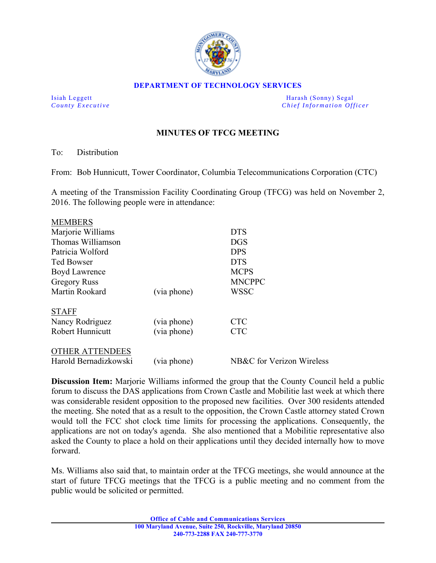

#### **DEPARTMENT OF TECHNOLOGY SERVICES**

Isiah Leggett Harash (Sonny) Segal *County Executive* **County Executive Chief Information Officer** 

# **MINUTES OF TFCG MEETING**

To: Distribution

From: Bob Hunnicutt, Tower Coordinator, Columbia Telecommunications Corporation (CTC)

A meeting of the Transmission Facility Coordinating Group (TFCG) was held on November 2, 2016. The following people were in attendance:

| <b>MEMBERS</b>          |             |                           |
|-------------------------|-------------|---------------------------|
| Marjorie Williams       |             | <b>DTS</b>                |
| Thomas Williamson       |             | <b>DGS</b>                |
| Patricia Wolford        |             | <b>DPS</b>                |
| <b>Ted Bowser</b>       |             | <b>DTS</b>                |
| Boyd Lawrence           |             | <b>MCPS</b>               |
| <b>Gregory Russ</b>     |             | <b>MNCPPC</b>             |
| Martin Rookard          | (via phone) | WSSC                      |
| <b>STAFF</b>            |             |                           |
| Nancy Rodriguez         | (via phone) | <b>CTC</b>                |
| <b>Robert Hunnicutt</b> | (via phone) | <b>CTC</b>                |
| THER ATTENDEES          |             |                           |
| Harold Bernadizkowski   | (via phone) | NB&C for Verizon Wireless |

**Discussion Item:** Marjorie Williams informed the group that the County Council held a public forum to discuss the DAS applications from Crown Castle and Mobilitie last week at which there was considerable resident opposition to the proposed new facilities. Over 300 residents attended the meeting. She noted that as a result to the opposition, the Crown Castle attorney stated Crown would toll the FCC shot clock time limits for processing the applications. Consequently, the applications are not on today's agenda. She also mentioned that a Mobilitie representative also asked the County to place a hold on their applications until they decided internally how to move forward.

Ms. Williams also said that, to maintain order at the TFCG meetings, she would announce at the start of future TFCG meetings that the TFCG is a public meeting and no comment from the public would be solicited or permitted.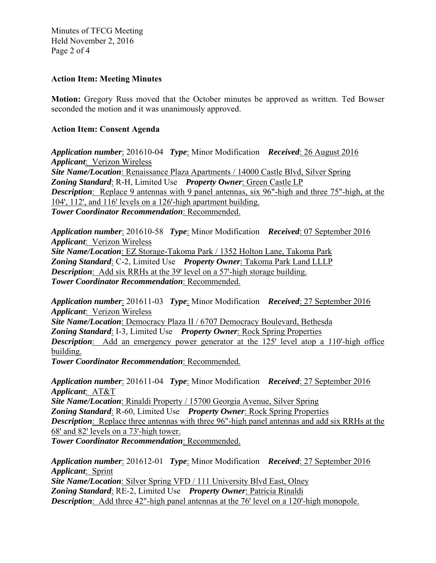Minutes of TFCG Meeting Held November 2, 2016 Page 2 of 4

# **Action Item: Meeting Minutes**

**Motion:** Gregory Russ moved that the October minutes be approved as written. Ted Bowser seconded the motion and it was unanimously approved.

# **Action Item: Consent Agenda**

*Application number*: 201610-04 *Type*: Minor Modification *Received*: 26 August 2016 *Applicant*: Verizon Wireless *Site Name/Location*: Renaissance Plaza Apartments / 14000 Castle Blvd, Silver Spring *Zoning Standard*: R-H, Limited Use *Property Owner*: Green Castle LP *Description*: Replace 9 antennas with 9 panel antennas, six 96"-high and three 75"-high, at the  $104', 112',$  and  $116'$  levels on a  $126'$ -high apartment building. *Tower Coordinator Recommendation*: Recommended.

*Application number*: 201610-58 *Type*: Minor Modification *Received*: 07 September 2016 *Applicant*: Verizon Wireless *Site Name/Location*: EZ Storage-Takoma Park / 1352 Holton Lane, Takoma Park

*Zoning Standard*: C-2, Limited Use *Property Owner*: Takoma Park Land LLLP *Description*: Add six RRHs at the 39' level on a 57'-high storage building. *Tower Coordinator Recommendation*: Recommended.

*Application number*: 201611-03 *Type*: Minor Modification *Received*: 27 September 2016 *Applicant*: Verizon Wireless

*Site Name/Location*: Democracy Plaza II / 6707 Democracy Boulevard, Bethesda *Zoning Standard*: I-3, Limited Use *Property Owner*: Rock Spring Properties *Description*: Add an emergency power generator at the 125' level atop a 110'-high office building.

*Tower Coordinator Recommendation*: Recommended.

*Application number*: 201611-04 *Type*: Minor Modification *Received*: 27 September 2016 *Applicant*: AT&T

*Site Name/Location*: Rinaldi Property / 15700 Georgia Avenue, Silver Spring

*Zoning Standard*: R-60, Limited Use *Property Owner*: Rock Spring Properties

*Description*: Replace three antennas with three 96"-high panel antennas and add six RRHs at the 68' and 82' levels on a 73'-high tower.

*Tower Coordinator Recommendation*: Recommended.

*Application number*: 201612-01 *Type*: Minor Modification *Received*: 27 September 2016 *Applicant*: Sprint *Site Name/Location*: Silver Spring VFD / 111 University Blvd East, Olney *Zoning Standard*: RE-2, Limited Use *Property Owner*: Patricia Rinaldi *Description*: Add three 42"-high panel antennas at the 76' level on a 120'-high monopole.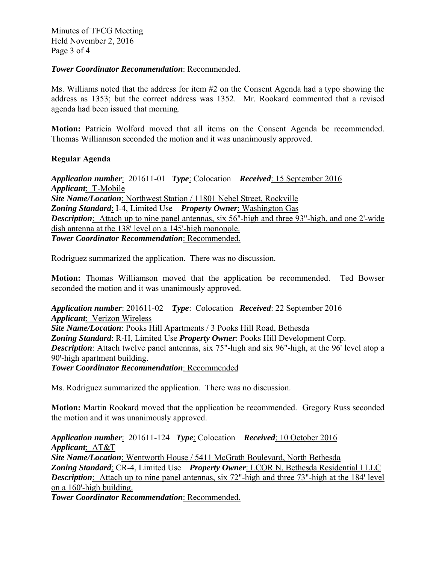Minutes of TFCG Meeting Held November 2, 2016 Page 3 of 4

### *Tower Coordinator Recommendation*: Recommended.

Ms. Williams noted that the address for item #2 on the Consent Agenda had a typo showing the address as 1353; but the correct address was 1352. Mr. Rookard commented that a revised agenda had been issued that morning.

**Motion:** Patricia Wolford moved that all items on the Consent Agenda be recommended. Thomas Williamson seconded the motion and it was unanimously approved.

### **Regular Agenda**

*Application number*: 201611-01 *Type*: Colocation *Received*: 15 September 2016 *Applicant*: T-Mobile *Site Name/Location*: Northwest Station / 11801 Nebel Street, Rockville *Zoning Standard*: I-4, Limited Use *Property Owner*: Washington Gas *Description*: Attach up to nine panel antennas, six 56"-high and three 93"-high, and one 2'-wide dish antenna at the  $138'$  level on a  $145'$ -high monopole. *Tower Coordinator Recommendation*: Recommended.

Rodriguez summarized the application. There was no discussion.

**Motion:** Thomas Williamson moved that the application be recommended. Ted Bowser seconded the motion and it was unanimously approved.

*Application number*: 201611-02 *Type*: Colocation *Received*: 22 September 2016 *Applicant*: Verizon Wireless *Site Name/Location*: Pooks Hill Apartments / 3 Pooks Hill Road, Bethesda *Zoning Standard*: R-H, Limited Use *Property Owner*: Pooks Hill Development Corp. **Description**: Attach twelve panel antennas, six 75"-high and six 96"-high, at the 96' level atop a 90'-high apartment building. *Tower Coordinator Recommendation*: Recommended

Ms. Rodriguez summarized the application. There was no discussion.

**Motion:** Martin Rookard moved that the application be recommended. Gregory Russ seconded the motion and it was unanimously approved.

*Application number*: 201611-124 *Type*: Colocation *Received*: 10 October 2016 *Applicant*: AT&T *Site Name/Location*: Wentworth House / 5411 McGrath Boulevard, North Bethesda *Zoning Standard*: CR-4, Limited Use *Property Owner*: LCOR N. Bethesda Residential I LLC **Description**: Attach up to nine panel antennas, six 72"-high and three 73"-high at the 184' level on a  $160'$ -high building.

*Tower Coordinator Recommendation*: Recommended.